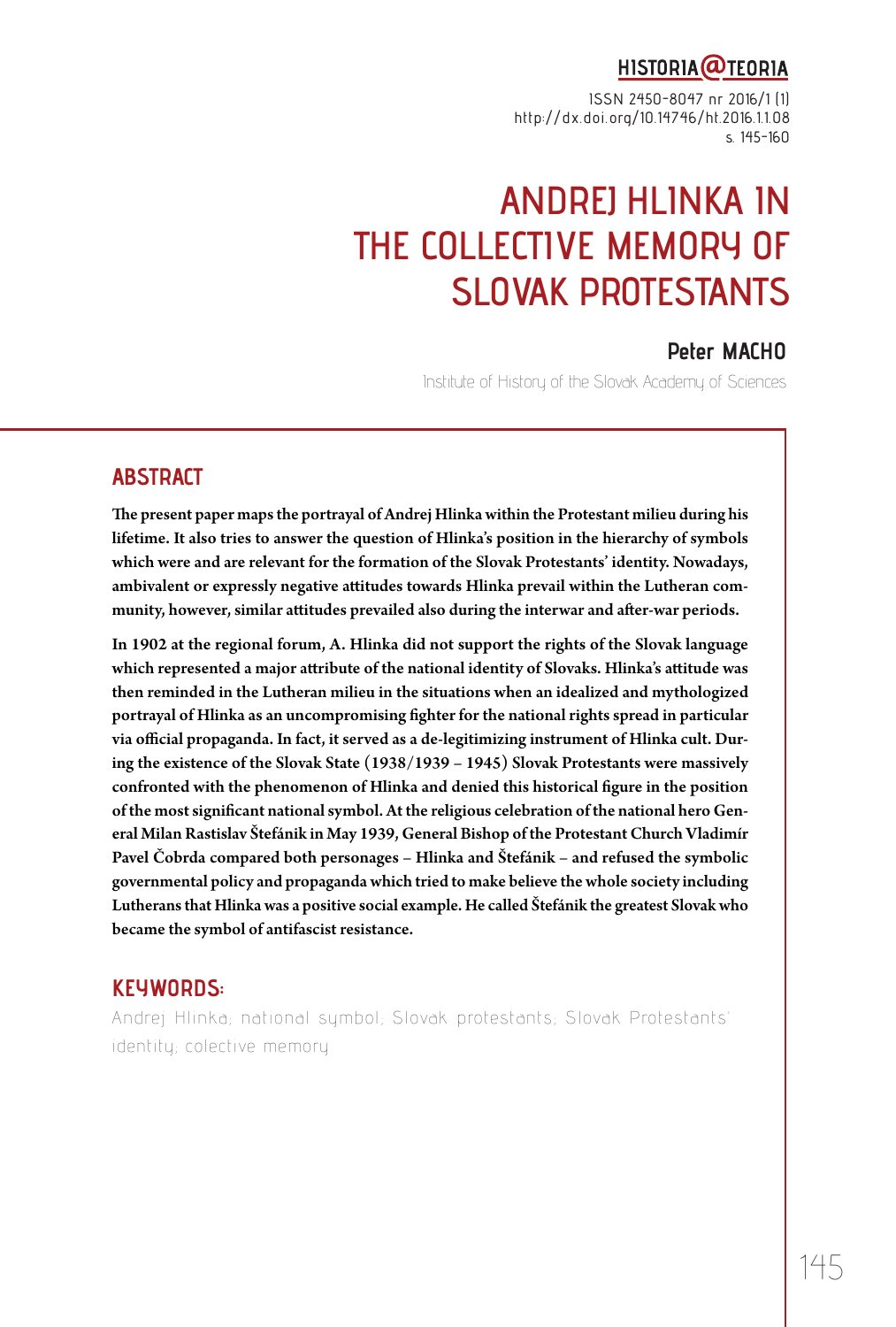## HISTORIA@TEORIA

ISSN 2450-8047 nr 2016/1 (1) http://dx.doi.org/10.14746/ht.2016.1.1.08 s. 145-160

# **ANDREJ HLINKA IN THE COLLECTIVE MEMORY OF SLOVAK PROTESTANTS**

## **Peter MACHO**

Institute of History of the Slovak Academy of Sciences

#### **ABSTRACT**

The present paper maps the portrayal of Andrej Hlinka within the Protestant milieu during his lifetime. It also tries to answer the question of Hlinka's position in the hierarchy of symbols which were and are relevant for the formation of the Slovak Protestants' identity. Nowadays, ambivalent or expressly negative attitudes towards Hlinka prevail within the Lutheran community, however, similar attitudes prevailed also during the interwar and after-war periods.

In 1902 at the regional forum, A. Hlinka did not support the rights of the Slovak language which represented a major attribute of the national identity of Slovaks. Hlinka's attitude was then reminded in the Lutheran milieu in the situations when an idealized and mythologized portrayal of Hlinka as an uncompromising fighter for the national rights spread in particular via official propaganda. In fact, it served as a de-legitimizing instrument of Hlinka cult. During the existence of the Slovak State (1938/1939 – 1945) Slovak Protestants were massively confronted with the phenomenon of Hlinka and denied this historical figure in the position of the most significant national symbol. At the religious celebration of the national hero General Milan Rastislav Štefánik in May 1939, General Bishop of the Protestant Church Vladimír Pavel Čobrda compared both personages – Hlinka and Štefánik – and refused the symbolic governmental policy and propaganda which tried to make believe the whole society including Lutherans that Hlinka was a positive social example. He called Štefánik the greatest Slovak who became the symbol of antifascist resistance.

## **KEYWORDS:**

Andrej Hlinka; national symbol; Slovak protestants; Slovak Protestants' identity; colective memory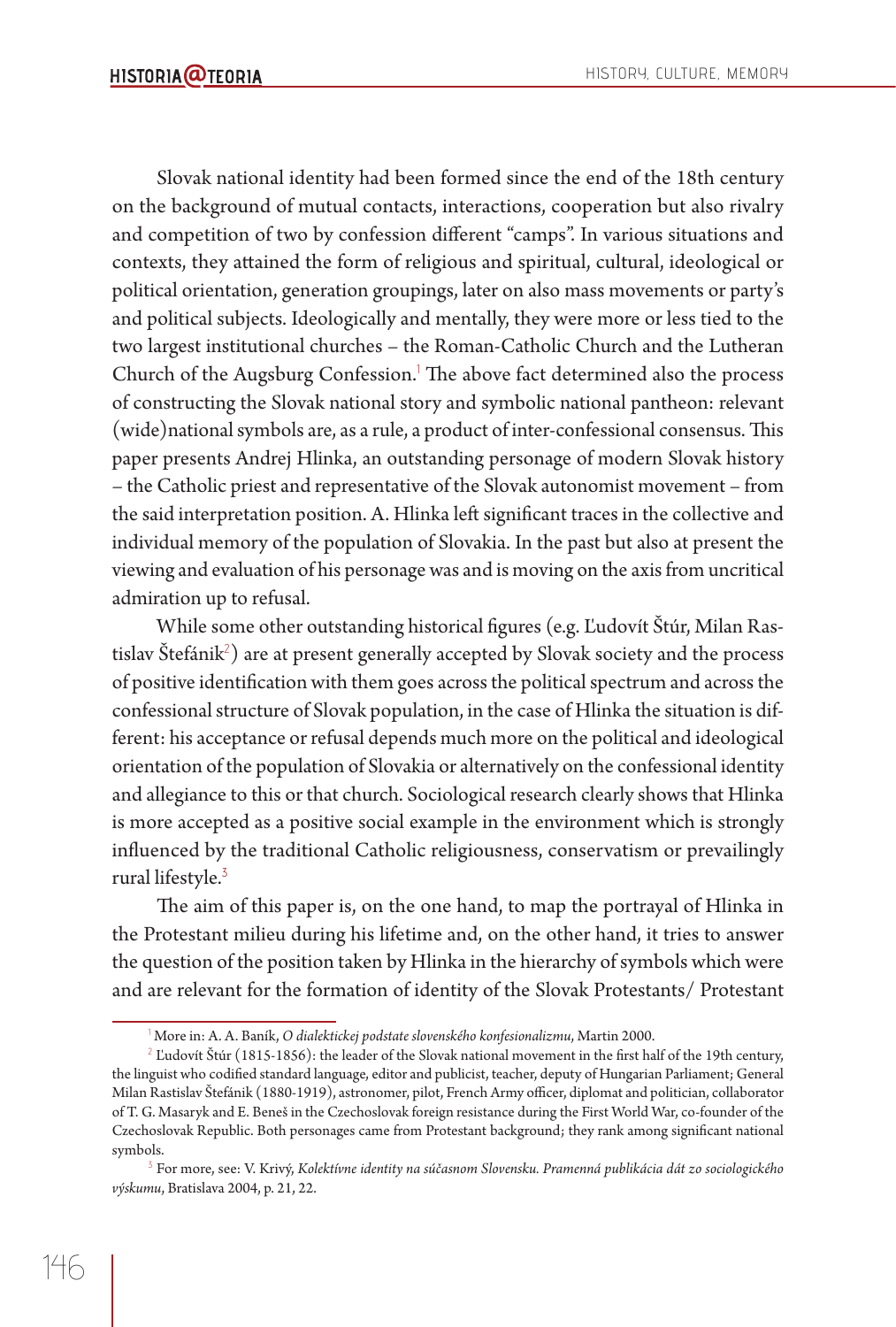Slovak national identity had been formed since the end of the 18th century on the background of mutual contacts, interactions, cooperation but also rivalry and competition of two by confession different "camps". In various situations and contexts, they attained the form of religious and spiritual, cultural, ideological or political orientation, generation groupings, later on also mass movements or party's and political subjects. Ideologically and mentally, they were more or less tied to the two largest institutional churches – the Roman-Catholic Church and the Lutheran Church of the Augsburg Confession.<sup>1</sup> The above fact determined also the process of constructing the Slovak national story and symbolic national pantheon: relevant (wide)national symbols are, as a rule, a product of inter-confessional consensus. This paper presents Andrej Hlinka, an outstanding personage of modern Slovak history – the Catholic priest and representative of the Slovak autonomist movement – from the said interpretation position. A. Hlinka left significant traces in the collective and individual memory of the population of Slovakia. In the past but also at present the viewing and evaluation of his personage was and is moving on the axis from uncritical admiration up to refusal.

While some other outstanding historical figures (e.g. Ľudovít Štúr, Milan Rastislav Štefánik $^2$ ) are at present generally accepted by Slovak society and the process of positive identification with them goes across the political spectrum and across the confessional structure of Slovak population, in the case of Hlinka the situation is different: his acceptance or refusal depends much more on the political and ideological orientation of the population of Slovakia or alternatively on the confessional identity and allegiance to this or that church. Sociological research clearly shows that Hlinka is more accepted as a positive social example in the environment which is strongly influenced by the traditional Catholic religiousness, conservatism or prevailingly rural lifestyle.<sup>3</sup>

The aim of this paper is, on the one hand, to map the portrayal of Hlinka in the Protestant milieu during his lifetime and, on the other hand, it tries to answer the question of the position taken by Hlinka in the hierarchy of symbols which were and are relevant for the formation of identity of the Slovak Protestants/ Protestant

More in: A. A. Baník, *O dialektickej podstate slovenského konfesionalizmu*, Martin 2000.

 $^2$  Ľudovít Štúr (1815-1856): the leader of the Slovak national movement in the first half of the 19th century, the linguist who codified standard language, editor and publicist, teacher, deputy of Hungarian Parliament; General Milan Rastislav Štefánik (1880-1919), astronomer, pilot, French Army officer, diplomat and politician, collaborator of T. G. Masaryk and E. Beneš in the Czechoslovak foreign resistance during the First World War, co-founder of the Czechoslovak Republic. Both personages came from Protestant background; they rank among significant national symbols.

<sup>3</sup> For more, see: V. Krivý, *Kolektívne identity na súčasnom Slovensku. Pramenná publikácia dát zo sociologického výskumu*, Bratislava 2004, p. 21, 22.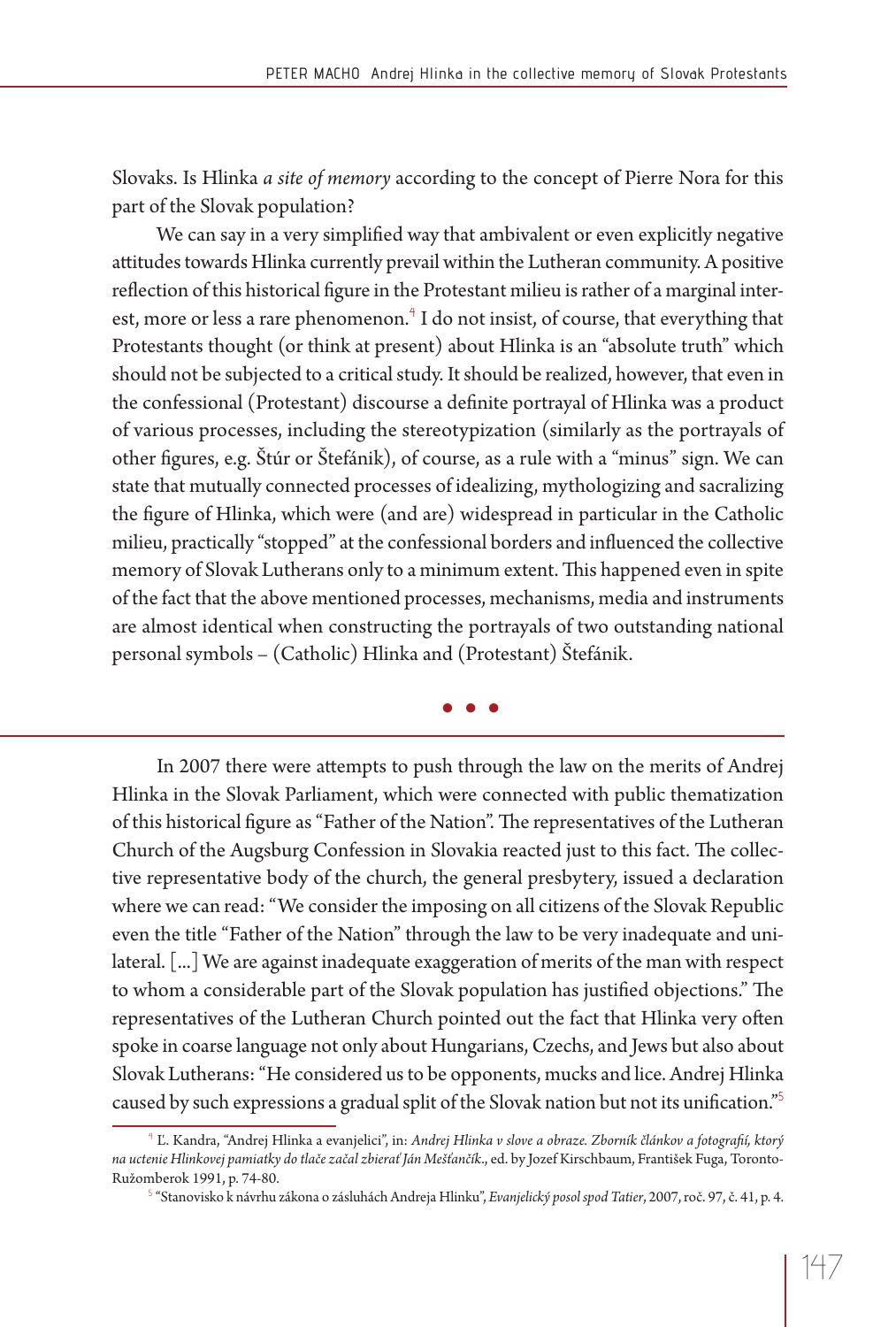Slovaks. Is Hlinka *a site of memory* according to the concept of Pierre Nora for this part of the Slovak population?

We can say in a very simplified way that ambivalent or even explicitly negative attitudes towards Hlinka currently prevail within the Lutheran community. A positive reflection of this historical figure in the Protestant milieu is rather of a marginal interest, more or less a rare phenomenon.<sup>4</sup> I do not insist, of course, that everything that Protestants thought (or think at present) about Hlinka is an "absolute truth" which should not be subjected to a critical study. It should be realized, however, that even in the confessional (Protestant) discourse a definite portrayal of Hlinka was a product of various processes, including the stereotypization (similarly as the portrayals of other figures, e.g. Štúr or Štefánik), of course, as a rule with a "minus" sign. We can state that mutually connected processes of idealizing, mythologizing and sacralizing the figure of Hlinka, which were (and are) widespread in particular in the Catholic milieu, practically "stopped" at the confessional borders and influenced the collective memory of Slovak Lutherans only to a minimum extent. This happened even in spite of the fact that the above mentioned processes, mechanisms, media and instruments are almost identical when constructing the portrayals of two outstanding national personal symbols – (Catholic) Hlinka and (Protestant) Štefánik.

**• • •**

In 2007 there were attempts to push through the law on the merits of Andrej Hlinka in the Slovak Parliament, which were connected with public thematization of this historical figure as "Father of the Nation". The representatives of the Lutheran Church of the Augsburg Confession in Slovakia reacted just to this fact. The collective representative body of the church, the general presbytery, issued a declaration where we can read: "We consider the imposing on all citizens of the Slovak Republic even the title "Father of the Nation" through the law to be very inadequate and unilateral. [...] We are against inadequate exaggeration of merits of the man with respect to whom a considerable part of the Slovak population has justified objections." The representatives of the Lutheran Church pointed out the fact that Hlinka very often spoke in coarse language not only about Hungarians, Czechs, and Jews but also about Slovak Lutherans: "He considered us to be opponents, mucks and lice. Andrej Hlinka caused by such expressions a gradual split of the Slovak nation but not its unification."<sup>5</sup>

<sup>&</sup>lt;sup>4</sup> Ľ. Kandra, "Andrej Hlinka a evanjelici", in: *Andrej Hlinka v slove a obraze. Zborník článkov a fotografií, ktorý na uctenie Hlinkovej pamiatky do tlače začal zbierať Ján Mešťančík*., ed. by Jozef Kirschbaum, František Fuga, Toronto-Ružomberok 1991, p. 74-80.

<sup>5</sup> "Stanovisko k návrhu zákona o zásluhách Andreja Hlinku", *Evanjelický posol spod Tatier*, 2007, roč. 97, č. 41, p. 4.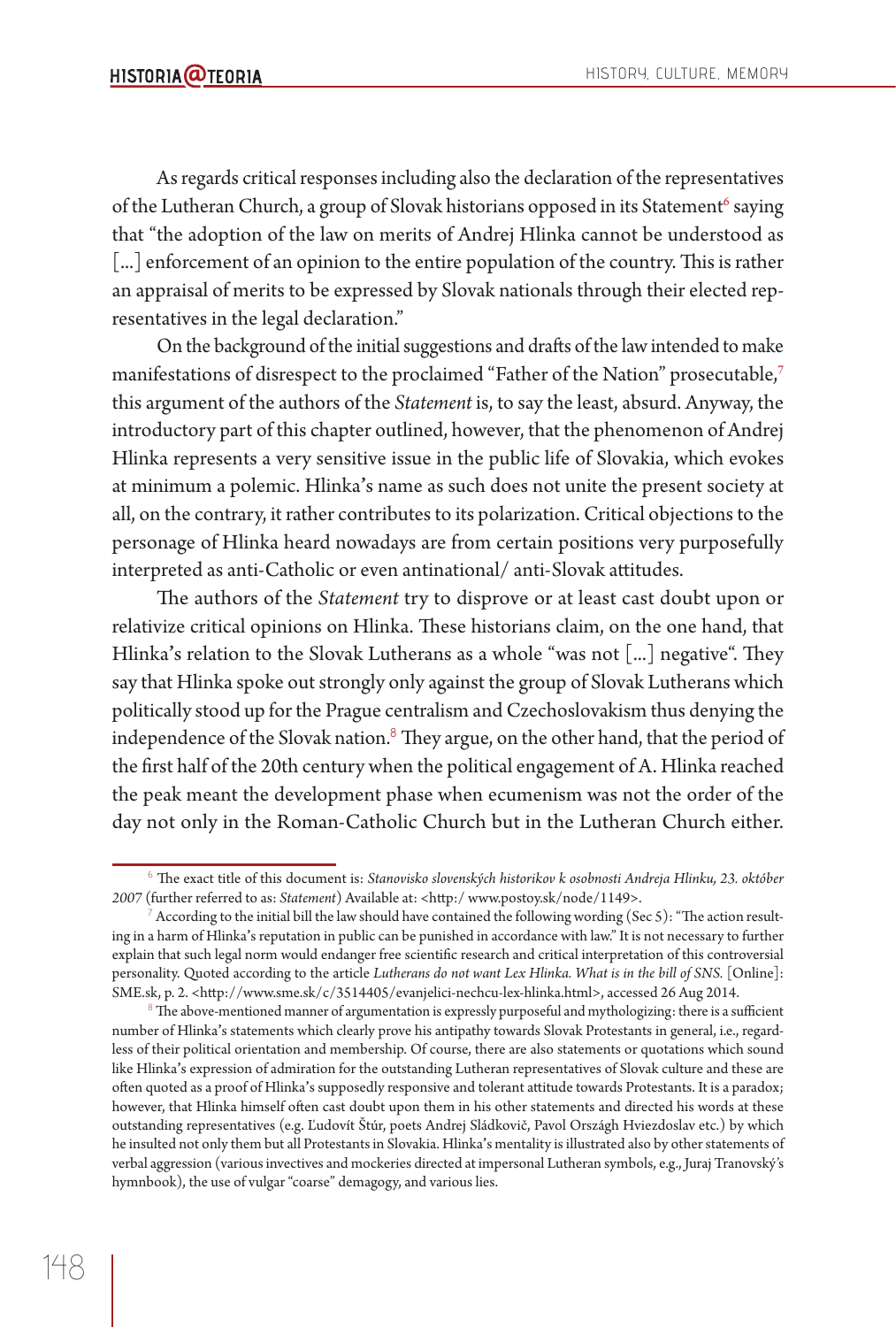As regards critical responses including also the declaration of the representatives of the Lutheran Church, a group of Slovak historians opposed in its Statement<sup>6</sup> saying that "the adoption of the law on merits of Andrej Hlinka cannot be understood as [...] enforcement of an opinion to the entire population of the country. This is rather an appraisal of merits to be expressed by Slovak nationals through their elected representatives in the legal declaration."

On the background of the initial suggestions and drafts of the law intended to make manifestations of disrespect to the proclaimed "Father of the Nation" prosecutable,<sup>7</sup> this argument of the authors of the *Statement* is, to say the least, absurd. Anyway, the introductory part of this chapter outlined, however, that the phenomenon of Andrej Hlinka represents a very sensitive issue in the public life of Slovakia, which evokes at minimum a polemic. Hlinka**'**s name as such does not unite the present society at all, on the contrary, it rather contributes to its polarization. Critical objections to the personage of Hlinka heard nowadays are from certain positions very purposefully interpreted as anti-Catholic or even antinational/ anti-Slovak attitudes.

The authors of the *Statement* try to disprove or at least cast doubt upon or relativize critical opinions on Hlinka. These historians claim, on the one hand, that Hlinka's relation to the Slovak Lutherans as a whole "was not [...] negative". They say that Hlinka spoke out strongly only against the group of Slovak Lutherans which politically stood up for the Prague centralism and Czechoslovakism thus denying the independence of the Slovak nation.<sup>8</sup> They argue, on the other hand, that the period of the first half of the 20th century when the political engagement of A. Hlinka reached the peak meant the development phase when ecumenism was not the order of the day not only in the Roman-Catholic Church but in the Lutheran Church either.

 $^6$  The exact title of this document is: *Stanovisko slovenských historikov k osobnosti Andreja Hlinku,* 23. október 2007 (further referred to as: *Statement*) Available at: <http:/ www.postoy.sk/node/1149>.

According to the initial bill the law should have contained the following wording (Sec 5): "The action resulting in a harm of Hlinka**'**s reputation in public can be punished in accordance with law." It is not necessary to further explain that such legal norm would endanger free scientific research and critical interpretation of this controversial personality. Quoted according to the article *Lutherans do not want Lex Hlinka. What is in the bill of SNS*. [Online]: SME.sk, p. 2. <http://www.sme.sk/c/3514405/evanjelici-nechcu-lex-hlinka.html>, accessed 26 Aug 2014.

 $^8$  The above-mentioned manner of argumentation is expressly purposeful and mythologizing: there is a sufficient number of Hlinka**'**s statements which clearly prove his antipathy towards Slovak Protestants in general, i.e., regardless of their political orientation and membership. Of course, there are also statements or quotations which sound like Hlinka**'**s expression of admiration for the outstanding Lutheran representatives of Slovak culture and these are often quoted as a proof of Hlinka's supposedly responsive and tolerant attitude towards Protestants. It is a paradox; however, that Hlinka himself often cast doubt upon them in his other statements and directed his words at these outstanding representatives (e.g. Ľudovít Štúr, poets Andrej Sládkovič, Pavol Országh Hviezdoslav etc.) by which he insulted not only them but all Protestants in Slovakia. Hlinka**'**s mentality is illustrated also by other statements of verbal aggression (various invectives and mockeries directed at impersonal Lutheran symbols, e.g., Juraj Tranovský's hymnbook), the use of vulgar "coarse" demagogy, and various lies.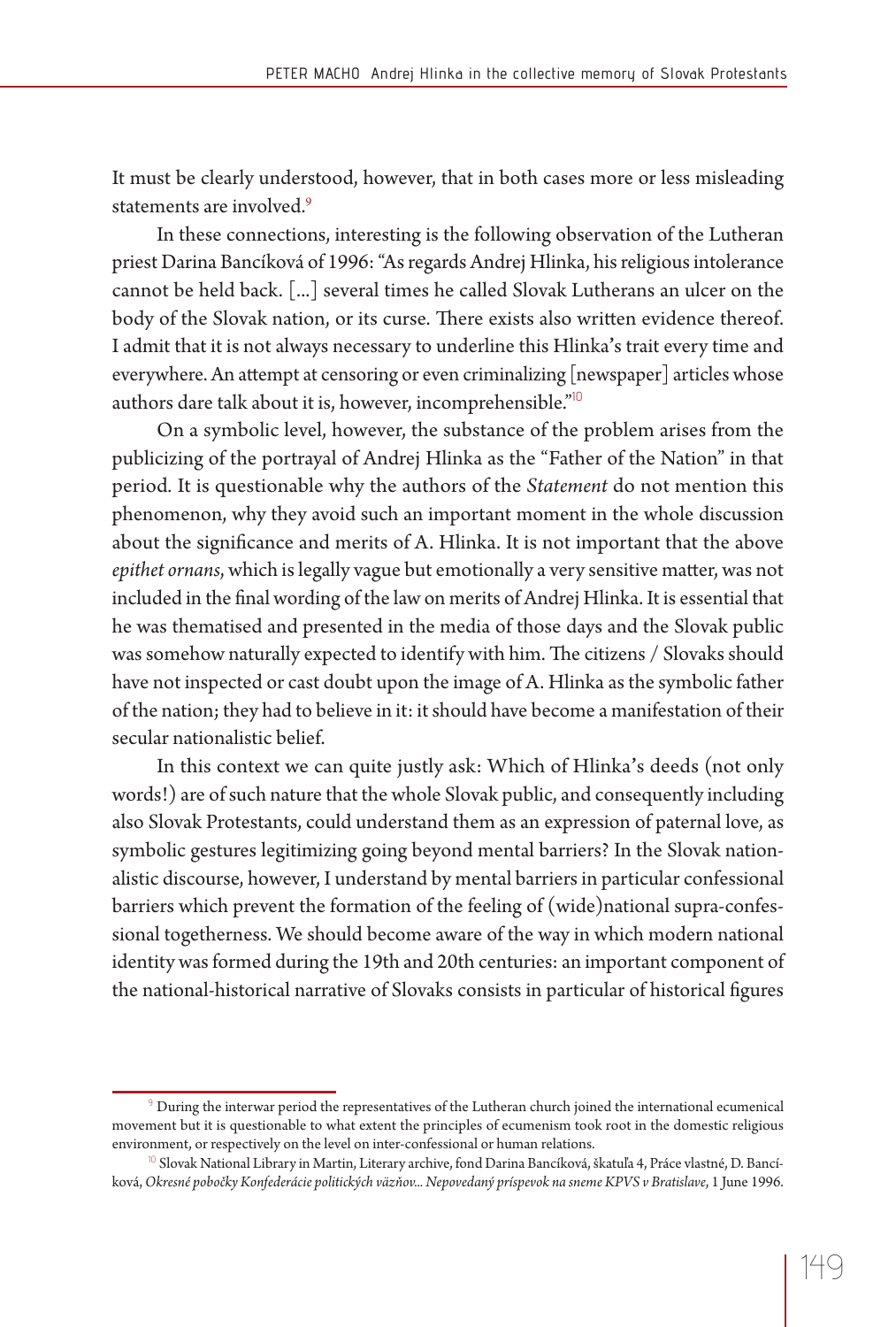It must be clearly understood, however, that in both cases more or less misleading statements are involved.<sup>9</sup>

In these connections, interesting is the following observation of the Lutheran priest Darina Bancíková of 1996: "As regards Andrej Hlinka, his religious intolerance cannot be held back. [...] several times he called Slovak Lutherans an ulcer on the body of the Slovak nation, or its curse. There exists also written evidence thereof. I admit that it is not always necessary to underline this Hlinka**'**s trait every time and everywhere. An attempt at censoring or even criminalizing  $\lceil$  newspaper $\rceil$  articles whose authors dare talk about it is, however, incomprehensible."<sup>10</sup>

On a symbolic level, however, the substance of the problem arises from the publicizing of the portrayal of Andrej Hlinka as the "Father of the Nation" in that period*.* It is questionable why the authors of the *Statement* do not mention this phenomenon, why they avoid such an important moment in the whole discussion about the significance and merits of A. Hlinka. It is not important that the above *epithet ornans*, which is legally vague but emotionally a very sensitive matter, was not included in the final wording of the law on merits of Andrej Hlinka. It is essential that he was thematised and presented in the media of those days and the Slovak public was somehow naturally expected to identify with him. The citizens / Slovaks should have not inspected or cast doubt upon the image of A. Hlinka as the symbolic father of the nation; they had to believe in it: it should have become a manifestation of their secular nationalistic belief.

In this context we can quite justly ask: Which of Hlinka**'**s deeds (not only words!) are of such nature that the whole Slovak public, and consequently including also Slovak Protestants, could understand them as an expression of paternal love, as symbolic gestures legitimizing going beyond mental barriers? In the Slovak nationalistic discourse, however, I understand by mental barriers in particular confessional barriers which prevent the formation of the feeling of (wide)national supra-confessional togetherness. We should become aware of the way in which modern national identity was formed during the 19th and 20th centuries: an important component of the national-historical narrative of Slovaks consists in particular of historical figures

 $^\circ$  During the interwar period the representatives of the Lutheran church joined the international ecumenical movement but it is questionable to what extent the principles of ecumenism took root in the domestic religious environment, or respectively on the level on inter-confessional or human relations.

 $^{10}$  Slovak National Library in Martin, Literary archive, fond Darina Bancíková, škatuľa 4, Práce vlastné, D. Bancíková, *Okresné pobočky Konfederácie politických väzňov... Nepovedaný príspevok na sneme KPVS v Bratislave*, 1 June 1996.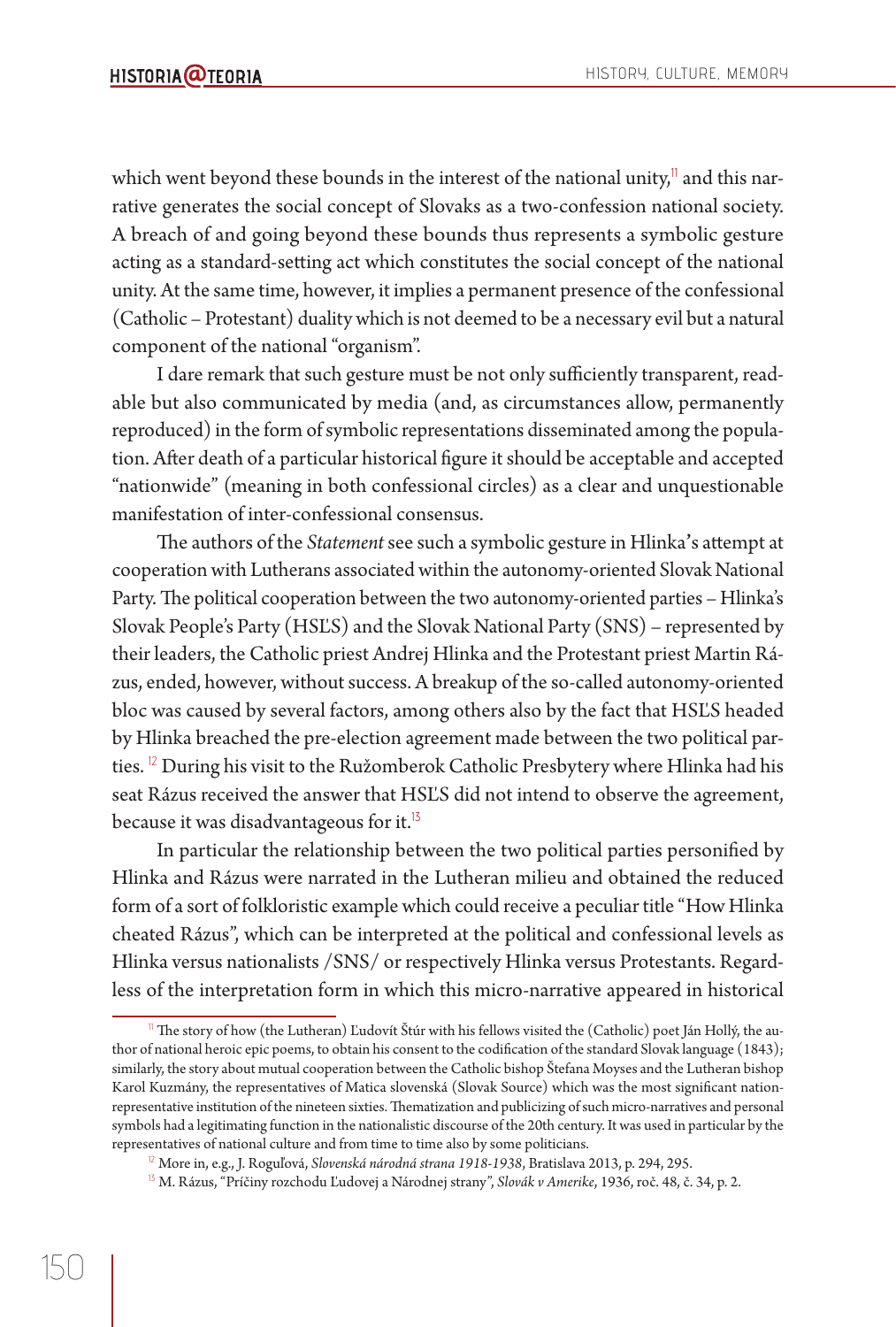which went beyond these bounds in the interest of the national unity, $\mathbb{I}^1$  and this narrative generates the social concept of Slovaks as a two-confession national society. A breach of and going beyond these bounds thus represents a symbolic gesture acting as a standard-setting act which constitutes the social concept of the national unity. At the same time, however, it implies a permanent presence of the confessional (Catholic – Protestant) duality which is not deemed to be a necessary evil but a natural component of the national "organism".

I dare remark that such gesture must be not only sufficiently transparent, readable but also communicated by media (and, as circumstances allow, permanently reproduced) in the form of symbolic representations disseminated among the population. After death of a particular historical figure it should be acceptable and accepted "nationwide" (meaning in both confessional circles) as a clear and unquestionable manifestation of inter-confessional consensus.

The authors of the *Statement* see such a symbolic gesture in Hlinka's attempt at cooperation with Lutherans associated within the autonomy-oriented Slovak National Party. The political cooperation between the two autonomy-oriented parties - Hlinka's Slovak People's Party (HSĽS) and the Slovak National Party (SNS) – represented by their leaders, the Catholic priest Andrej Hlinka and the Protestant priest Martin Rázus, ended, however, without success. A breakup of the so-called autonomy-oriented bloc was caused by several factors, among others also by the fact that HSĽS headed by Hlinka breached the pre-election agreement made between the two political parties. <sup>12</sup> During his visit to the Ružomberok Catholic Presbytery where Hlinka had his seat Rázus received the answer that HSĽS did not intend to observe the agreement, because it was disadvantageous for it.<sup>15</sup>

In particular the relationship between the two political parties personified by Hlinka and Rázus were narrated in the Lutheran milieu and obtained the reduced form of a sort of folkloristic example which could receive a peculiar title "How Hlinka cheated Rázus", which can be interpreted at the political and confessional levels as Hlinka versus nationalists /SNS/ or respectively Hlinka versus Protestants. Regardless of the interpretation form in which this micro-narrative appeared in historical

<sup>&</sup>lt;sup>11</sup> The story of how (the Lutheran) Ľudovít Štúr with his fellows visited the (Catholic) poet Ján Hollý, the author of national heroic epic poems, to obtain his consent to the codification of the standard Slovak language (1843); similarly, the story about mutual cooperation between the Catholic bishop Štefana Moyses and the Lutheran bishop Karol Kuzmány, the representatives of Matica slovenská (Slovak Source) which was the most significant nationrepresentative institution of the nineteen sixties. Thematization and publicizing of such micro-narratives and personal symbols had a legitimating function in the nationalistic discourse of the 20th century. It was used in particular by the representatives of national culture and from time to time also by some politicians.

<sup>&</sup>lt;sup>12</sup> More in, e.g., J. Roguľová, *Slovenská národná strana 1918-1938*, Bratislava 2013, p. 294, 295.

<sup>&</sup>lt;sup>13</sup> M. Rázus, "Príčiny rozchodu Ľudovej a Národnej strany", *Slovák v Amerike*, 1936, roč. 48, č. 34, p. 2.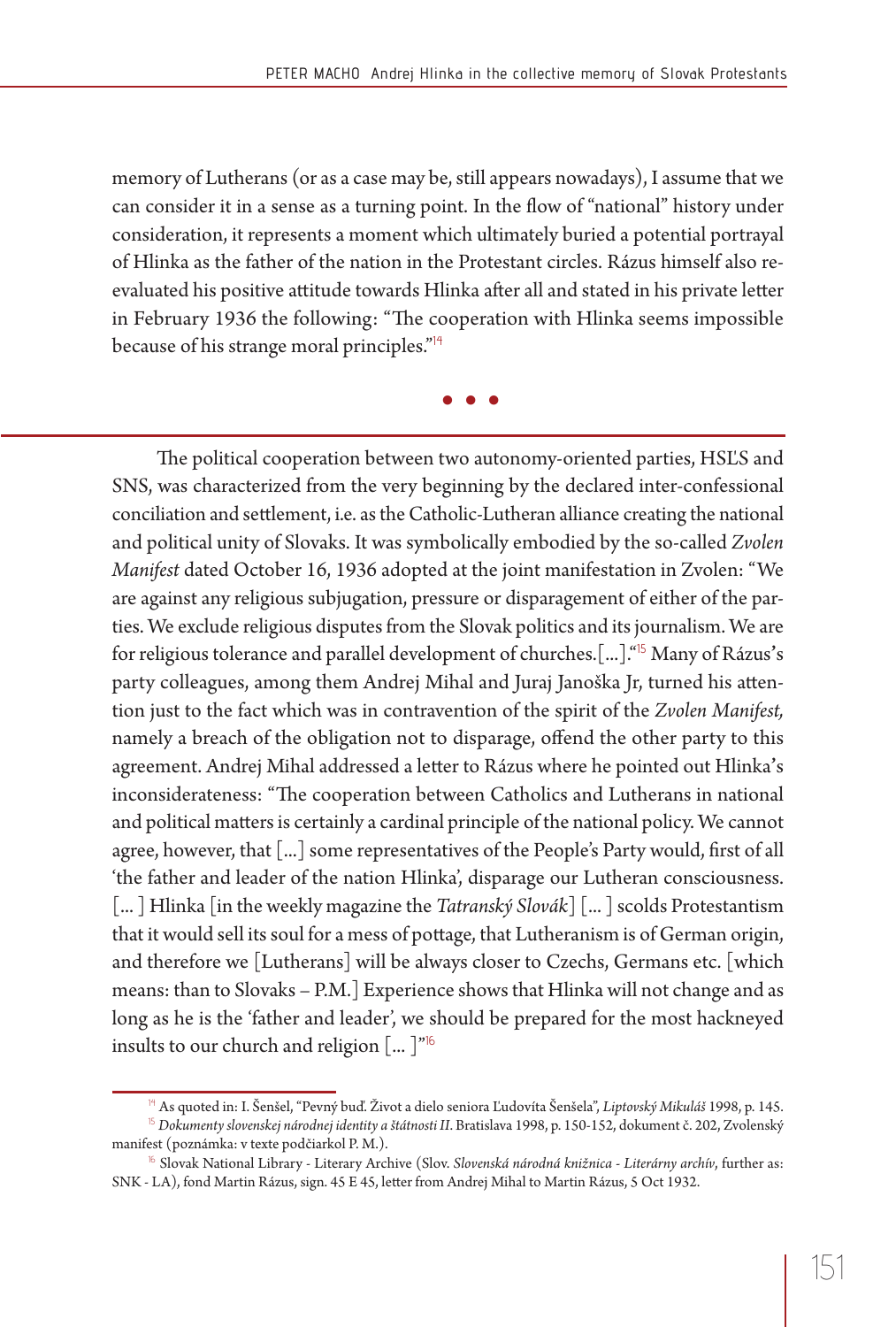memory of Lutherans (or as a case may be, still appears nowadays), I assume that we can consider it in a sense as a turning point. In the flow of "national" history under consideration, it represents a moment which ultimately buried a potential portrayal of Hlinka as the father of the nation in the Protestant circles. Rázus himself also reevaluated his positive attitude towards Hlinka after all and stated in his private letter in February 1936 the following: "The cooperation with Hlinka seems impossible because of his strange moral principles."<sup>14</sup>

**• • •**

The political cooperation between two autonomy-oriented parties, HSLS and SNS, was characterized from the very beginning by the declared inter-confessional conciliation and settlement, i.e. as the Catholic-Lutheran alliance creating the national and political unity of Slovaks. It was symbolically embodied by the so-called *Zvolen Manifest* dated October 16, 1936 adopted at the joint manifestation in Zvolen: "We are against any religious subjugation, pressure or disparagement of either of the parties. We exclude religious disputes from the Slovak politics and its journalism. We are for religious tolerance and parallel development of churches.[...]."<sup>15</sup> Many of Rázus**'**s party colleagues, among them Andrej Mihal and Juraj Janoška Jr, turned his attention just to the fact which was in contravention of the spirit of the *Zvolen Manifest,* namely a breach of the obligation not to disparage, offend the other party to this agreement. Andrej Mihal addressed a letter to Rázus where he pointed out Hlinka's inconsiderateness: "The cooperation between Catholics and Lutherans in national and political matters is certainly a cardinal principle of the national policy. We cannot agree, however, that  $\lceil ... \rceil$  some representatives of the People's Party would, first of all 'the father and leader of the nation Hlinka', disparage our Lutheran consciousness. [... ] Hlinka [in the weekly magazine the *Tatranský Slovák*] [... ] scolds Protestantism that it would sell its soul for a mess of pottage, that Lutheranism is of German origin, and therefore we [Lutherans] will be always closer to Czechs, Germans etc. [which means: than to Slovaks – P.M.] Experience shows that Hlinka will not change and as long as he is the 'father and leader', we should be prepared for the most hackneyed insults to our church and religion  $\left[ \dots \right]^{n_{16}}$ 

<sup>14</sup> As quoted in: I. Šenšel, "Pevný buď. Život a dielo seniora Ľudovíta Šenšela", *Liptovský Mikuláš* 1998, p. 145.

<sup>15</sup> *Dokumenty slovenskej národnej identity a štátnosti II*. Bratislava 1998, p. 150-152, dokument č. 202, Zvolenský manifest (poznámka: v texte podčiarkol P. M.).

<sup>16</sup> Slovak National Library - Literary Archive (Slov. *Slovenská národná knižnica - Literárny archív*, further as: SNK - LA), fond Martin Rázus, sign. 45 E 45, letter from Andrej Mihal to Martin Rázus, 5 Oct 1932.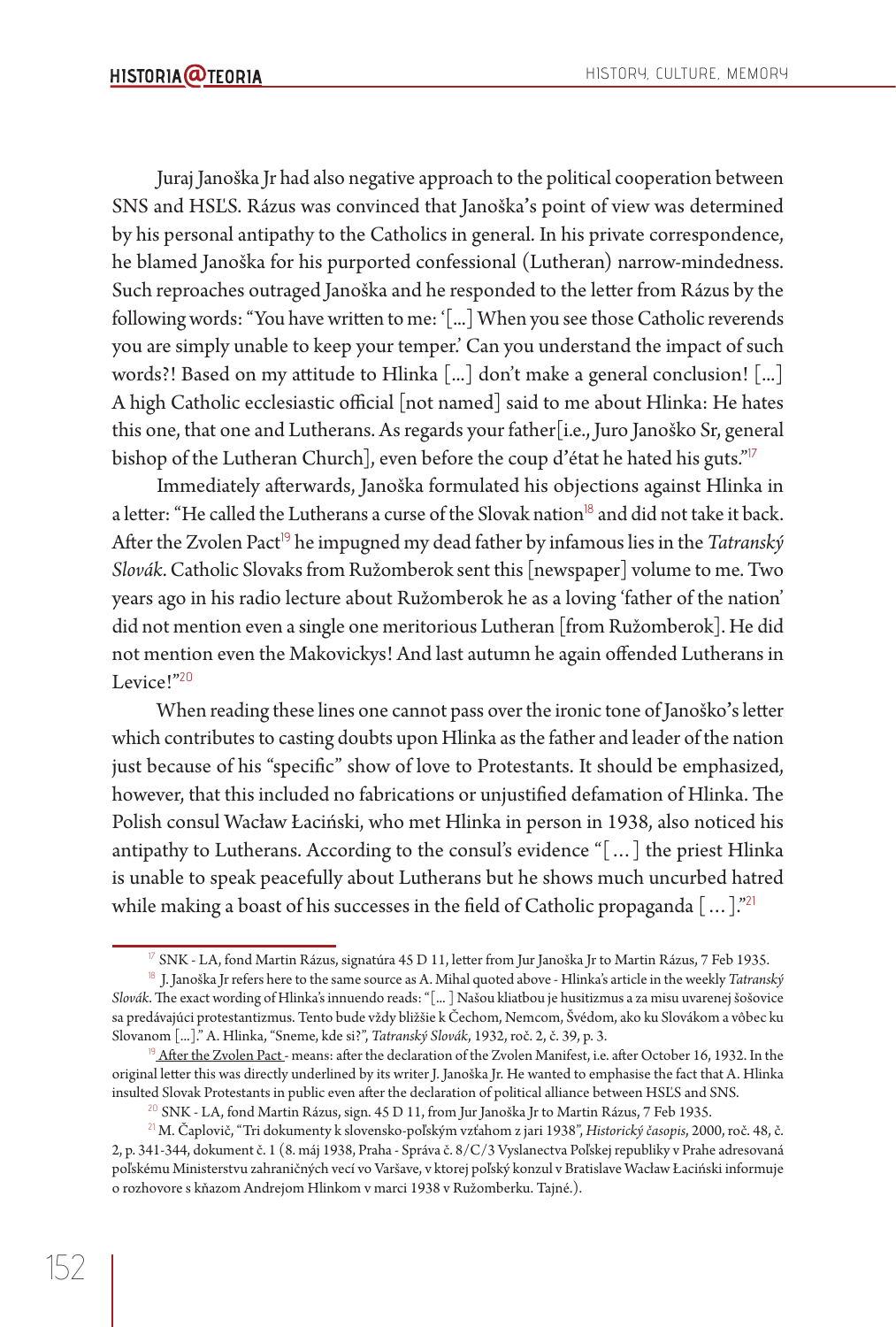Juraj Janoška Jr had also negative approach to the political cooperation between SNS and HSĽS. Rázus was convinced that Janoška**'**s point of view was determined by his personal antipathy to the Catholics in general. In his private correspondence, he blamed Janoška for his purported confessional (Lutheran) narrow-mindedness. Such reproaches outraged Janoška and he responded to the letter from Rázus by the following words: "You have written to me: '[...] When you see those Catholic reverends you are simply unable to keep your temper.' Can you understand the impact of such words?! Based on my attitude to Hlinka  $\left[ ... \right]$  don't make a general conclusion!  $\left[ ... \right]$ A high Catholic ecclesiastic official [not named] said to me about Hlinka: He hates this one, that one and Lutherans. As regards your father[i.e., Juro Janoško Sr, general bishop of the Lutheran Church], even before the coup d**'**état he hated his guts."<sup>17</sup>

Immediately afterwards, Janoška formulated his objections against Hlinka in a letter: "He called the Lutherans a curse of the Slovak nation<sup>18</sup> and did not take it back. After the Zvolen Pact<sup>19</sup> he impugned my dead father by infamous lies in the *Tatranský Slovák*. Catholic Slovaks from Ružomberok sent this [newspaper] volume to me. Two years ago in his radio lecture about Ružomberok he as a loving 'father of the nation' did not mention even a single one meritorious Lutheran [from Ružomberok]. He did not mention even the Makovickys! And last autumn he again offended Lutherans in Levice!"<sup>20</sup>

When reading these lines one cannot pass over the ironic tone of Janoško's letter which contributes to casting doubts upon Hlinka as the father and leader of the nation just because of his "specific" show of love to Protestants. It should be emphasized, however, that this included no fabrications or unjustified defamation of Hlinka. The Polish consul Wacław Łaciński, who met Hlinka in person in 1938, also noticed his antipathy to Lutherans. According to the consul's evidence "[…] the priest Hlinka is unable to speak peacefully about Lutherans but he shows much uncurbed hatred while making a boast of his successes in the field of Catholic propaganda  $[\dots]$ ."<sup>21</sup>

 $17$  SNK - LA, fond Martin Rázus, signatúra 45 D 11, letter from Jur Janoška Jr to Martin Rázus, 7 Feb 1935.

<sup>18</sup> J. Janoška Jr refers here to the same source as A. Mihal quoted above - Hlinka's article in the weekly *Tatranský Slovák*. The exact wording of Hlinka's innuendo reads: "[...] Našou kliatbou je husitizmus a za misu uvarenej šošovice sa predávajúci protestantizmus. Tento bude vždy bližšie k Čechom, Nemcom, Švédom, ako ku Slovákom a vôbec ku Slovanom [...]." A. Hlinka, "Sneme, kde si?", *Tatranský Slovák*, 1932, roč. 2, č. 39, p. 3.

<sup>&</sup>lt;sup>19</sup> After the Zvolen Pact - means: after the declaration of the Zvolen Manifest, i.e. after October 16, 1932. In the original letter this was directly underlined by its writer J. Janoška Jr. He wanted to emphasise the fact that A. Hlinka insulted Slovak Protestants in public even after the declaration of political alliance between HSĽS and SNS.

 $^{20}$  SNK - LA, fond Martin Rázus, sign. 45 D 11, from Jur Janoška Jr to Martin Rázus, 7 Feb 1935.

<sup>21</sup> M. Čaplovič, "Tri dokumenty k slovensko-poľským vzťahom z jari 1938", *Historický časopis*, 2000, roč. 48, č. 2, p. 341-344, dokument č. 1 (8. máj 1938, Praha - Správa č. 8/C/3 Vyslanectva Poľskej republiky v Prahe adresovaná poľskému Ministerstvu zahraničných vecí vo Varšave, v ktorej poľský konzul v Bratislave Wacław Łaciński informuje o rozhovore s kňazom Andrejom Hlinkom v marci 1938 v Ružomberku. Tajné.).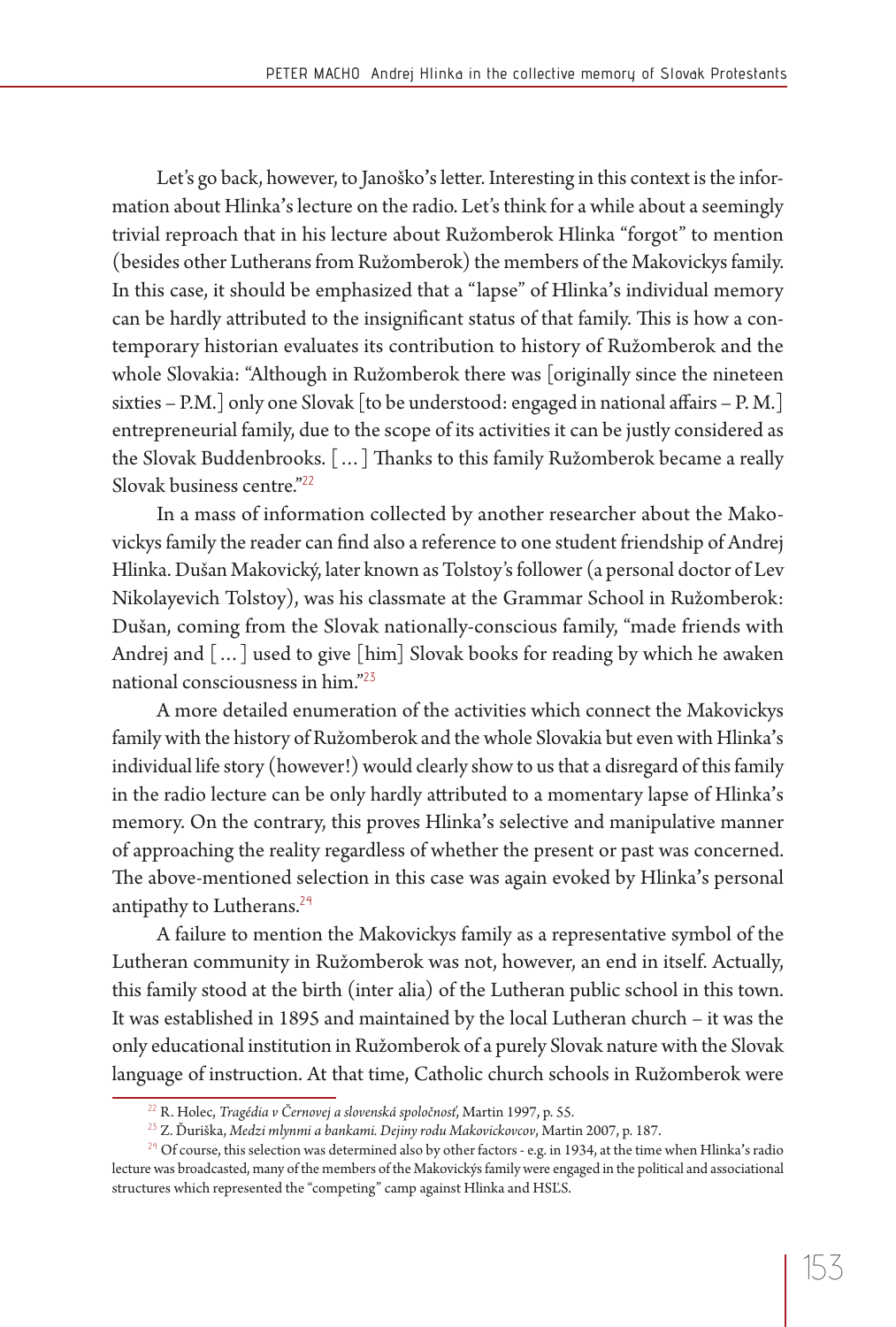Let's go back, however, to Janoško's letter. Interesting in this context is the information about Hlinka**'**s lecture on the radio. Let's think for a while about a seemingly trivial reproach that in his lecture about Ružomberok Hlinka "forgot" to mention (besides other Lutherans from Ružomberok) the members of the Makovickys family. In this case, it should be emphasized that a "lapse" of Hlinka**'**s individual memory can be hardly attributed to the insignificant status of that family. This is how a contemporary historian evaluates its contribution to history of Ružomberok and the whole Slovakia: "Although in Ružomberok there was [originally since the nineteen sixties – P.M.] only one Slovak [to be understood: engaged in national affairs – P.M.] entrepreneurial family, due to the scope of its activities it can be justly considered as the Slovak Buddenbrooks. [...] Thanks to this family Ružomberok became a really Slovak business centre."<sup>22</sup>

In a mass of information collected by another researcher about the Makovickys family the reader can find also a reference to one student friendship of Andrej Hlinka. Dušan Makovický, later known as Tolstoy's follower (a personal doctor of Lev Nikolayevich Tolstoy), was his classmate at the Grammar School in Ružomberok: Dušan, coming from the Slovak nationally-conscious family, "made friends with Andrej and […] used to give [him] Slovak books for reading by which he awaken national consciousness in him."<sup>23</sup>

A more detailed enumeration of the activities which connect the Makovickys family with the history of Ružomberok and the whole Slovakia but even with Hlinka**'**s individual life story (however!) would clearly show to us that a disregard of this family in the radio lecture can be only hardly att ributed to a momentary lapse of Hlinka**'**s memory. On the contrary, this proves Hlinka**'**s selective and manipulative manner of approaching the reality regardless of whether the present or past was concerned. The above-mentioned selection in this case was again evoked by Hlinka's personal antipathy to Lutherans.<sup>24</sup>

A failure to mention the Makovickys family as a representative symbol of the Lutheran community in Ružomberok was not, however, an end in itself. Actually, this family stood at the birth (inter alia) of the Lutheran public school in this town. It was established in 1895 and maintained by the local Lutheran church – it was the only educational institution in Ružomberok of a purely Slovak nature with the Slovak language of instruction. At that time, Catholic church schools in Ružomberok were

<sup>22</sup> R. Holec, *Tragédia v Černovej a slovenská spoločnosť*, Martin 1997, p. 55.

<sup>23</sup> Z. Ďuriška, *Medzi mlynmi a bankami. Dejiny rodu Makovickovcov*, Martin 2007, p. 187.

<sup>&</sup>lt;sup>24</sup> Of course, this selection was determined also by other factors - e.g. in 1934, at the time when Hlinka's radio lecture was broadcasted, many of the members of the Makovickýs family were engaged in the political and associational structures which represented the "competing" camp against Hlinka and HSĽS.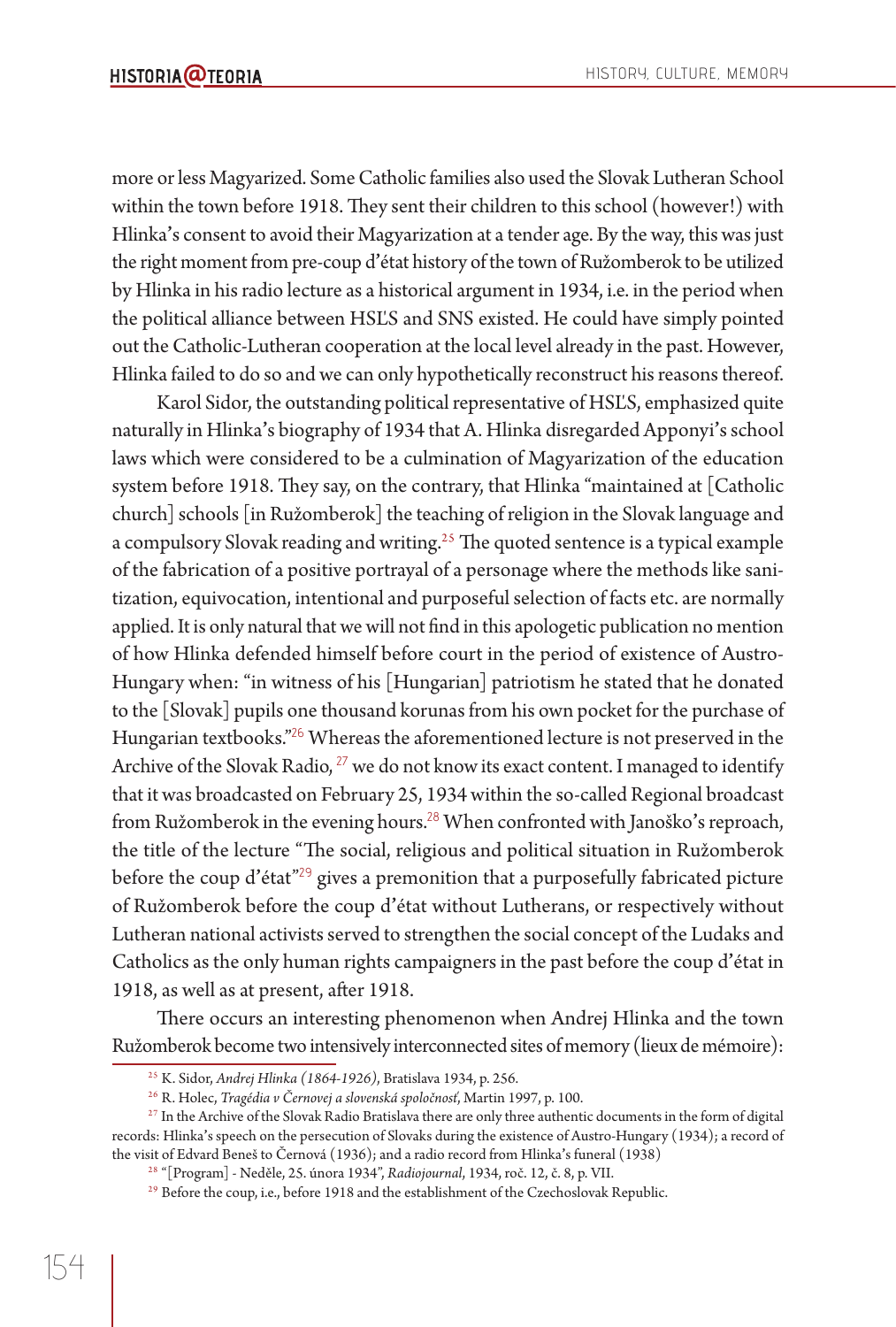more or less Magyarized. Some Catholic families also used the Slovak Lutheran School within the town before 1918. They sent their children to this school (however!) with Hlinka**'**s consent to avoid their Magyarization at a tender age. By the way, this was just the right moment from pre-coup d**'**état history of the town of Ružomberok to be utilized by Hlinka in his radio lecture as a historical argument in 1934, i.e. in the period when the political alliance between HSĽS and SNS existed. He could have simply pointed out the Catholic-Lutheran cooperation at the local level already in the past. However, Hlinka failed to do so and we can only hypothetically reconstruct his reasons thereof.

Karol Sidor, the outstanding political representative of HSĽS, emphasized quite naturally in Hlinka**'**s biography of 1934 that A. Hlinka disregarded Apponyi**'**s school laws which were considered to be a culmination of Magyarization of the education system before 1918. They say, on the contrary, that Hlinka "maintained at [Catholic church] schools [in Ružomberok] the teaching of religion in the Slovak language and a compulsory Slovak reading and writing.<sup>25</sup> The quoted sentence is a typical example of the fabrication of a positive portrayal of a personage where the methods like sanitization, equivocation, intentional and purposeful selection of facts etc. are normally applied. It is only natural that we will not find in this apologetic publication no mention of how Hlinka defended himself before court in the period of existence of Austro-Hungary when: "in witness of his [Hungarian] patriotism he stated that he donated to the [Slovak] pupils one thousand korunas from his own pocket for the purchase of Hungarian textbooks."<sup>26</sup> Whereas the aforementioned lecture is not preserved in the Archive of the Slovak Radio, <sup>27</sup> we do not know its exact content. I managed to identify that it was broadcasted on February 25, 1934 within the so-called Regional broadcast from Ružomberok in the evening hours.<sup>28</sup> When confronted with Janoško**'**s reproach, the title of the lecture "The social, religious and political situation in Ružomberok before the coup d**'**état"<sup>29</sup> gives a premonition that a purposefully fabricated picture of Ružomberok before the coup d**'**état without Lutherans, or respectively without Lutheran national activists served to strengthen the social concept of the Ludaks and Catholics as the only human rights campaigners in the past before the coup d**'**état in 1918, as well as at present, after 1918.

There occurs an interesting phenomenon when Andrej Hlinka and the town Ružomberok become two intensively interconnected sites of memory (lieux de mémoire):

<sup>25</sup> K. Sidor, *Andrej Hlinka (1864-1926)*, Bratislava 1934, p. 256.

<sup>&</sup>lt;sup>26</sup> R. Holec, *Tragédia v Černovej a slovenská spoločnosť*, Martin 1997, p. 100.<br><sup>27</sup> In the Archive of the Slovak Radio Bratislava there are only three authentic documents in the form of digital records: Hlinka**'**s speech on the persecution of Slovaks during the existence of Austro-Hungary (1934); a record of the visit of Edvard Beneš to Černová (1936); and a radio record from Hlinka's funeral (1938)<br><sup>28</sup> "[Program] - Neděle, 25. února 1934", *Radiojournal*, 1934, roč. 12, č. 8, p. VII.

<sup>&</sup>lt;sup>29</sup> Before the coup, i.e., before 1918 and the establishment of the Czechoslovak Republic.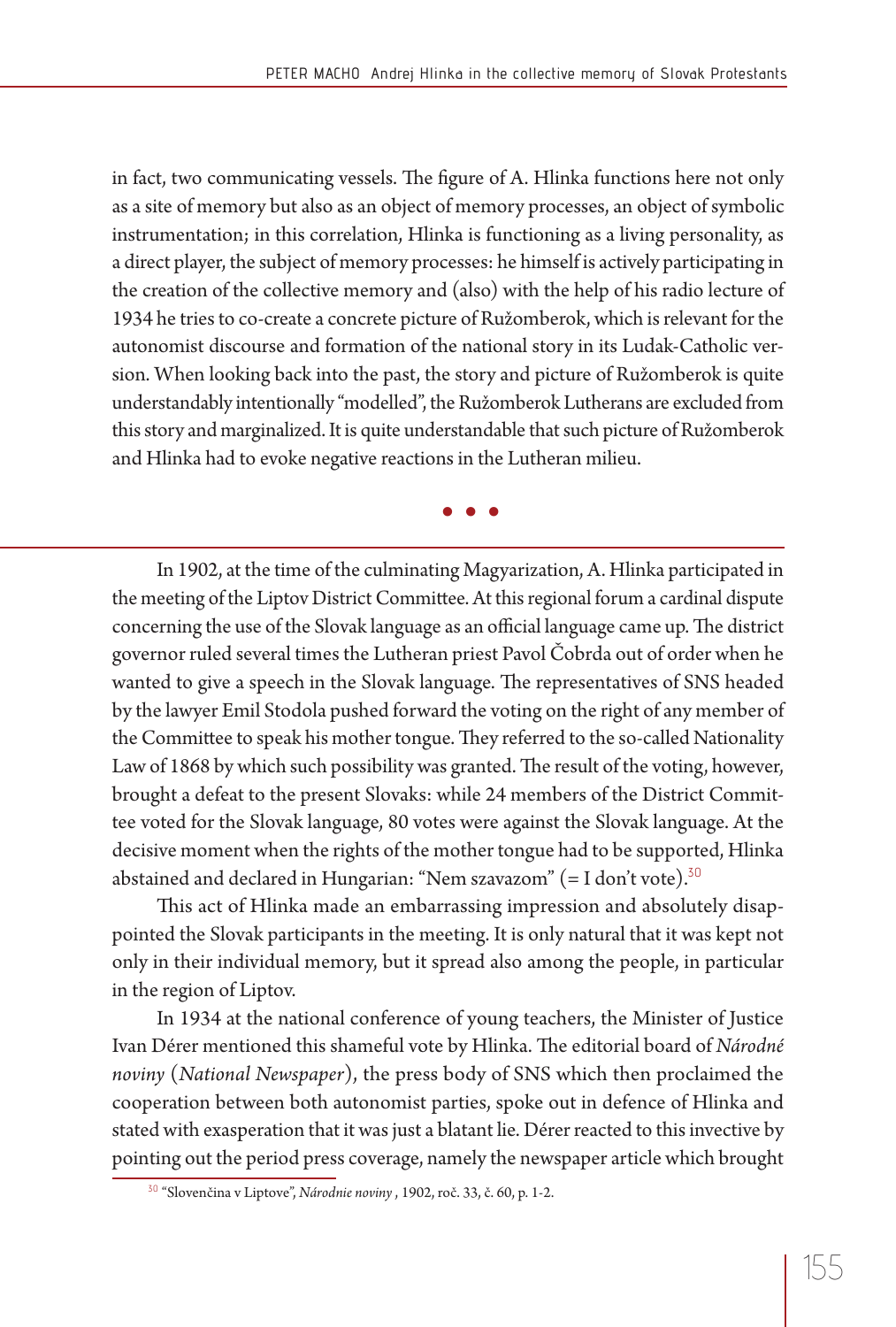in fact, two communicating vessels. The figure of A. Hlinka functions here not only as a site of memory but also as an object of memory processes, an object of symbolic instrumentation; in this correlation, Hlinka is functioning as a living personality, as a direct player, the subject of memory processes: he himself is actively participating in the creation of the collective memory and (also) with the help of his radio lecture of 1934 he tries to co-create a concrete picture of Ružomberok, which is relevant for the autonomist discourse and formation of the national story in its Ludak-Catholic version. When looking back into the past, the story and picture of Ružomberok is quite understandably intentionally "modelled", the Ružomberok Lutherans are excluded from this story and marginalized. It is quite understandable that such picture of Ružomberok and Hlinka had to evoke negative reactions in the Lutheran milieu.

**• • •**

In 1902, at the time of the culminating Magyarization, A. Hlinka participated in the meeting of the Liptov District Committee. At this regional forum a cardinal dispute concerning the use of the Slovak language as an official language came up. The district governor ruled several times the Lutheran priest Pavol Čobrda out of order when he wanted to give a speech in the Slovak language. The representatives of SNS headed by the lawyer Emil Stodola pushed forward the voting on the right of any member of the Committee to speak his mother tongue. They referred to the so-called Nationality Law of 1868 by which such possibility was granted. The result of the voting, however, brought a defeat to the present Slovaks: while 24 members of the District Committee voted for the Slovak language, 80 votes were against the Slovak language. At the decisive moment when the rights of the mother tongue had to be supported, Hlinka abstained and declared in Hungarian: "Nem szavazom" (= I don't vote).<sup>30</sup>

This act of Hlinka made an embarrassing impression and absolutely disappointed the Slovak participants in the meeting. It is only natural that it was kept not only in their individual memory, but it spread also among the people, in particular in the region of Liptov.

In 1934 at the national conference of young teachers, the Minister of Justice Ivan Dérer mentioned this shameful vote by Hlinka. The editorial board of *Národné noviny* (*National Newspaper*), the press body of SNS which then proclaimed the cooperation between both autonomist parties, spoke out in defence of Hlinka and stated with exasperation that it was just a blatant lie. Dérer reacted to this invective by pointing out the period press coverage, namely the newspaper article which brought

<sup>30</sup> "Slovenčina v Liptove", *Národnie noviny* , 1902, roč. 33, č. 60, p. 1-2.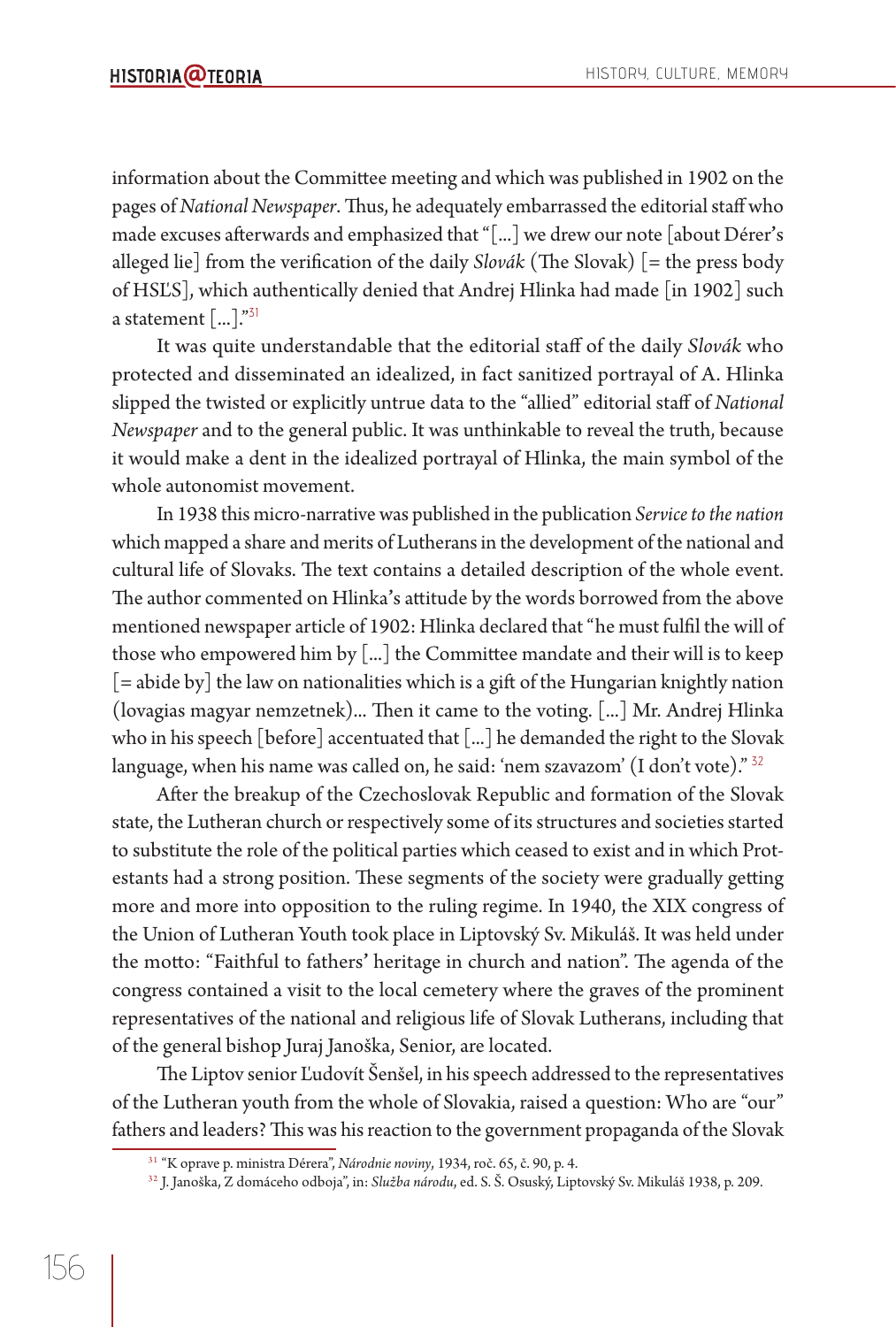information about the Committee meeting and which was published in 1902 on the pages of *National Newspaper*. Thus, he adequately embarrassed the editorial staff who made excuses afterwards and emphasized that "[...] we drew our note [about Dérer's alleged lie] from the verification of the daily *Slovák* (The Slovak) [= the press body of HSĽS], which authentically denied that Andrej Hlinka had made [in 1902] such a statement  $[\dots]^{n31}$ 

It was quite understandable that the editorial staff of the daily *Slovák* who protected and disseminated an idealized, in fact sanitized portrayal of A. Hlinka slipped the twisted or explicitly untrue data to the "allied" editorial staff of *National Newspaper* and to the general public. It was unthinkable to reveal the truth, because it would make a dent in the idealized portrayal of Hlinka, the main symbol of the whole autonomist movement.

In 1938 this micro-narrative was published in the publication *Service to the nation* which mapped a share and merits of Lutherans in the development of the national and cultural life of Slovaks. The text contains a detailed description of the whole event. The author commented on Hlinka's attitude by the words borrowed from the above mentioned newspaper article of 1902: Hlinka declared that "he must fulfil the will of those who empowered him by [...] the Committee mandate and their will is to keep [= abide by] the law on nationalities which is a gift of the Hungarian knightly nation (lovagias magyar nemzetnek)... Then it came to the voting. [...] Mr. Andrej Hlinka who in his speech [before] accentuated that [...] he demanded the right to the Slovak language, when his name was called on, he said: 'nem szavazom' (I don't vote)."  $32$ 

After the breakup of the Czechoslovak Republic and formation of the Slovak state, the Lutheran church or respectively some of its structures and societies started to substitute the role of the political parties which ceased to exist and in which Protestants had a strong position. These segments of the society were gradually getting more and more into opposition to the ruling regime. In 1940, the XIX congress of the Union of Lutheran Youth took place in Liptovský Sv. Mikuláš. It was held under the motto: "Faithful to fathers' heritage in church and nation". The agenda of the congress contained a visit to the local cemetery where the graves of the prominent representatives of the national and religious life of Slovak Lutherans, including that of the general bishop Juraj Janoška, Senior, are located.

The Liptov senior Ľudovít Šenšel, in his speech addressed to the representatives of the Lutheran youth from the whole of Slovakia, raised a question: Who are "our" fathers and leaders? This was his reaction to the government propaganda of the Slovak

<sup>31 &</sup>quot;K oprave p. ministra Dérera", *Národnie noviny*, 1934, roč. 65, č. 90, p. 4.

<sup>32</sup> J. Janoška, Z domáceho odboja", in: *Služba národu*, ed. S. Š. Osuský, Liptovský Sv. Mikuláš 1938, p. 209.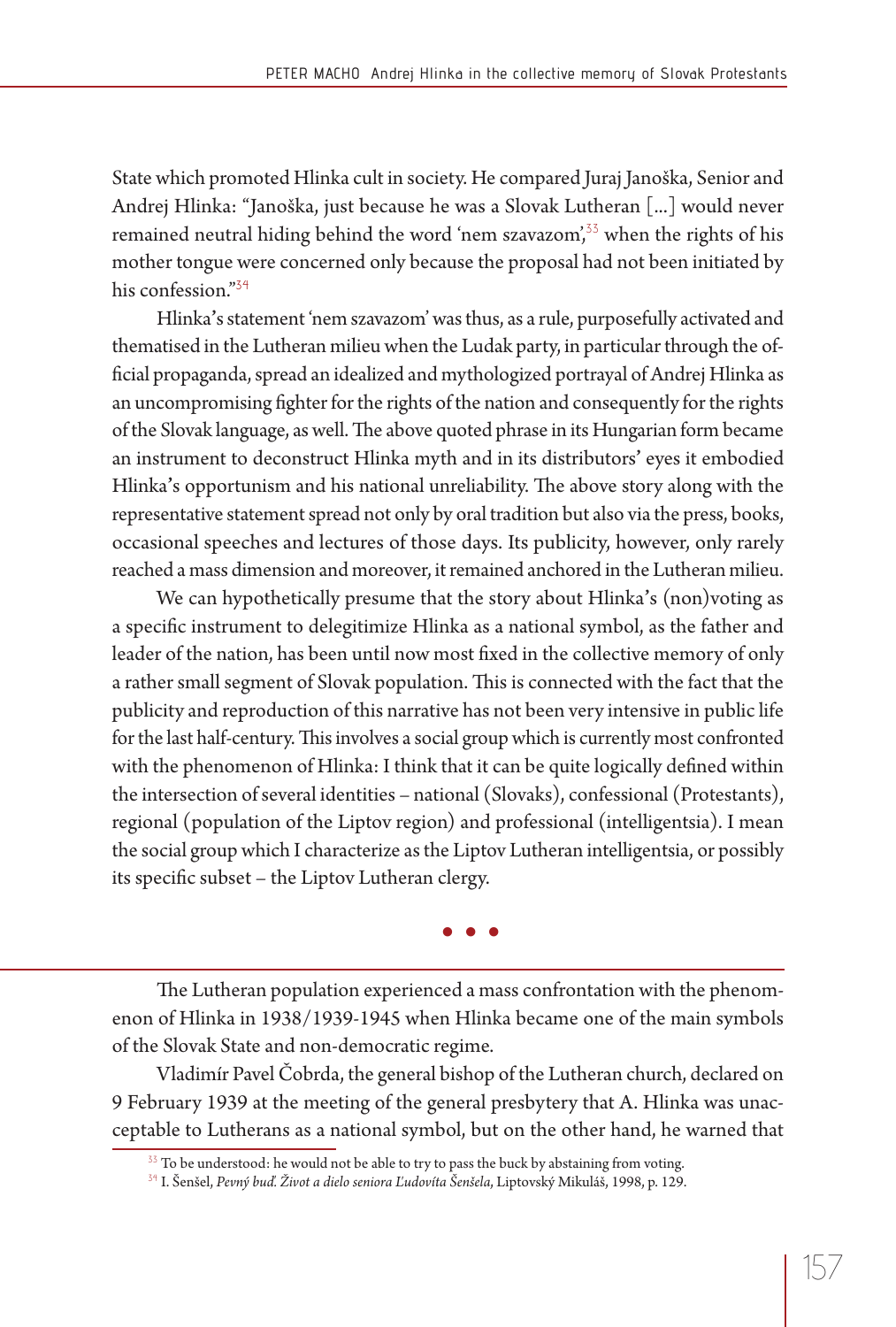State which promoted Hlinka cult in society. He compared Juraj Janoška, Senior and Andrej Hlinka: "Janoška, just because he was a Slovak Lutheran [...] would never remained neutral hiding behind the word 'nem szavazom',<sup>35</sup> when the rights of his mother tongue were concerned only because the proposal had not been initiated by his confession."<sup>34</sup>

Hlinka**'**s statement 'nem szavazom' was thus, as a rule, purposefully activated and thematised in the Lutheran milieu when the Ludak party, in particular through the official propaganda, spread an idealized and mythologized portrayal of Andrej Hlinka as an uncompromising fighter for the rights of the nation and consequently for the rights of the Slovak language, as well. The above quoted phrase in its Hungarian form became an instrument to deconstruct Hlinka myth and in its distributors**'** eyes it embodied Hlinka's opportunism and his national unreliability. The above story along with the representative statement spread not only by oral tradition but also via the press, books, occasional speeches and lectures of those days. Its publicity, however, only rarely reached a mass dimension and moreover, it remained anchored in the Lutheran milieu.

We can hypothetically presume that the story about Hlinka**'**s (non)voting as a specific instrument to delegitimize Hlinka as a national symbol, as the father and leader of the nation, has been until now most fixed in the collective memory of only a rather small segment of Slovak population. This is connected with the fact that the publicity and reproduction of this narrative has not been very intensive in public life for the last half-century. This involves a social group which is currently most confronted with the phenomenon of Hlinka: I think that it can be quite logically defined within the intersection of several identities – national (Slovaks), confessional (Protestants), regional (population of the Liptov region) and professional (intelligentsia). I mean the social group which I characterize as the Liptov Lutheran intelligentsia, or possibly its specific subset - the Liptov Lutheran clergy.

**• • •**

The Lutheran population experienced a mass confrontation with the phenomenon of Hlinka in 1938/1939-1945 when Hlinka became one of the main symbols of the Slovak State and non-democratic regime.

Vladimír Pavel Čobrda, the general bishop of the Lutheran church, declared on 9 February 1939 at the meeting of the general presbytery that A. Hlinka was unacceptable to Lutherans as a national symbol, but on the other hand, he warned that

<sup>&</sup>lt;sup>33</sup> To be understood: he would not be able to try to pass the buck by abstaining from voting.

<sup>34</sup> I. Šenšel, *Pevný buď. Život a dielo seniora Ľudovíta Šenšela*, Liptovský Mikuláš, 1998, p. 129.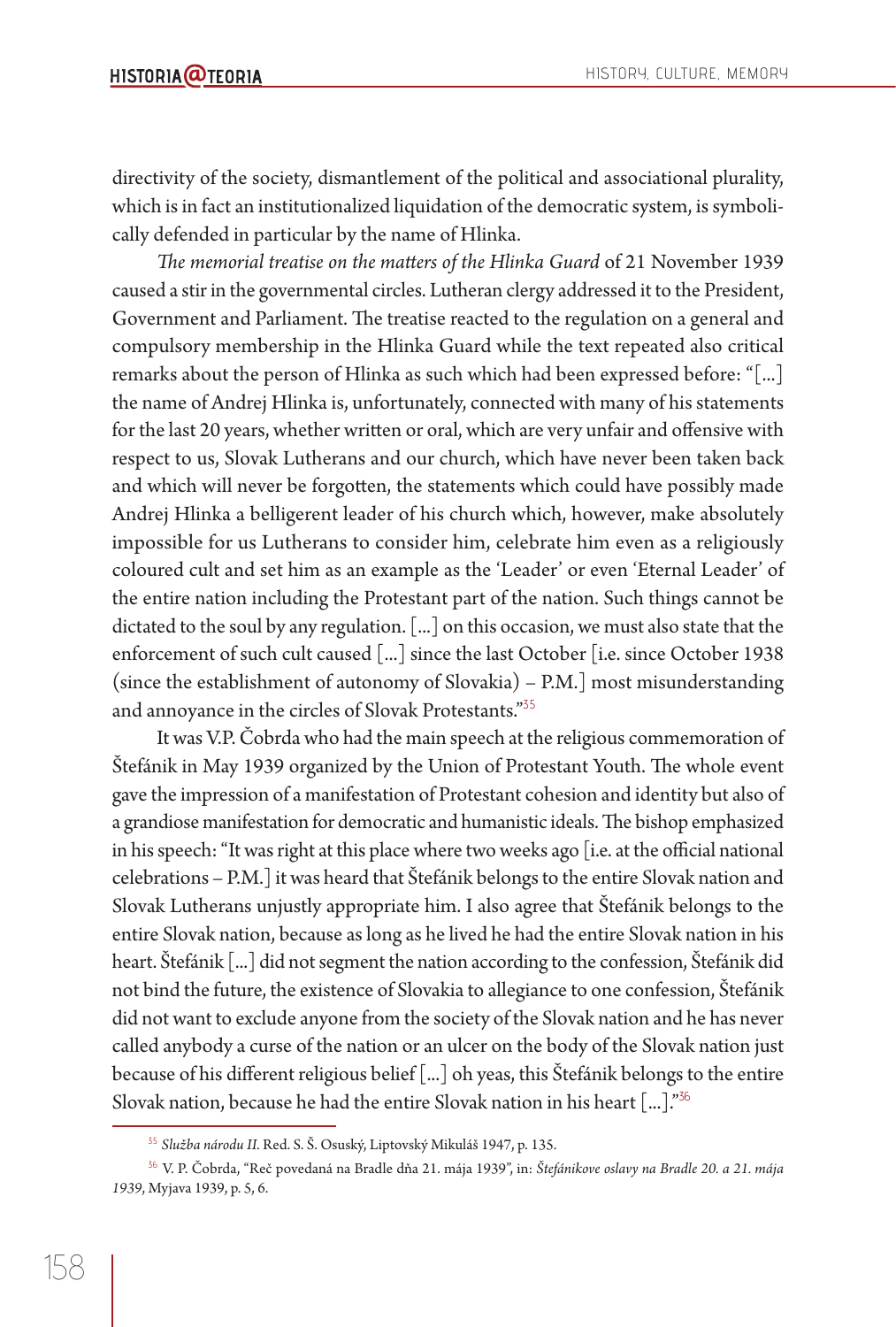directivity of the society, dismantlement of the political and associational plurality, which is in fact an institutionalized liquidation of the democratic system, is symbolically defended in particular by the name of Hlinka.

The memorial treatise on the matters of the Hlinka Guard of 21 November 1939 caused a stir in the governmental circles. Lutheran clergy addressed it to the President, Government and Parliament. The treatise reacted to the regulation on a general and compulsory membership in the Hlinka Guard while the text repeated also critical remarks about the person of Hlinka as such which had been expressed before: "[...] the name of Andrej Hlinka is, unfortunately, connected with many of his statements for the last 20 years, whether written or oral, which are very unfair and offensive with respect to us, Slovak Lutherans and our church, which have never been taken back and which will never be forgotten, the statements which could have possibly made Andrej Hlinka a belligerent leader of his church which, however, make absolutely impossible for us Lutherans to consider him, celebrate him even as a religiously coloured cult and set him as an example as the 'Leader' or even 'Eternal Leader' of the entire nation including the Protestant part of the nation. Such things cannot be dictated to the soul by any regulation. [...] on this occasion, we must also state that the enforcement of such cult caused [...] since the last October [i.e. since October 1938 (since the establishment of autonomy of Slovakia) – P.M.] most misunderstanding and annoyance in the circles of Slovak Protestants."<sup>35</sup>

It was V.P. Čobrda who had the main speech at the religious commemoration of Štefánik in May 1939 organized by the Union of Protestant Youth. The whole event gave the impression of a manifestation of Protestant cohesion and identity but also of a grandiose manifestation for democratic and humanistic ideals. The bishop emphasized in his speech: "It was right at this place where two weeks ago [i.e. at the official national celebrations – P.M.] it was heard that Štefánik belongs to the entire Slovak nation and Slovak Lutherans unjustly appropriate him. I also agree that Štefánik belongs to the entire Slovak nation, because as long as he lived he had the entire Slovak nation in his heart. Štefánik [...] did not segment the nation according to the confession, Štefánik did not bind the future, the existence of Slovakia to allegiance to one confession, Štefánik did not want to exclude anyone from the society of the Slovak nation and he has never called anybody a curse of the nation or an ulcer on the body of the Slovak nation just because of his different religious belief [...] oh yeas, this Štefánik belongs to the entire Slovak nation, because he had the entire Slovak nation in his heart [...]."<sup>36</sup>

<sup>35</sup> *Služba národu II.* Red. S. Š. Osuský, Liptovský Mikuláš 1947, p. 135.

<sup>36</sup> V. P. Čobrda, "Reč povedaná na Bradle dňa 21. mája 1939", in: *Štefánikove oslavy na Bradle 20. a 21. mája 1939*, Myjava 1939, p. 5, 6.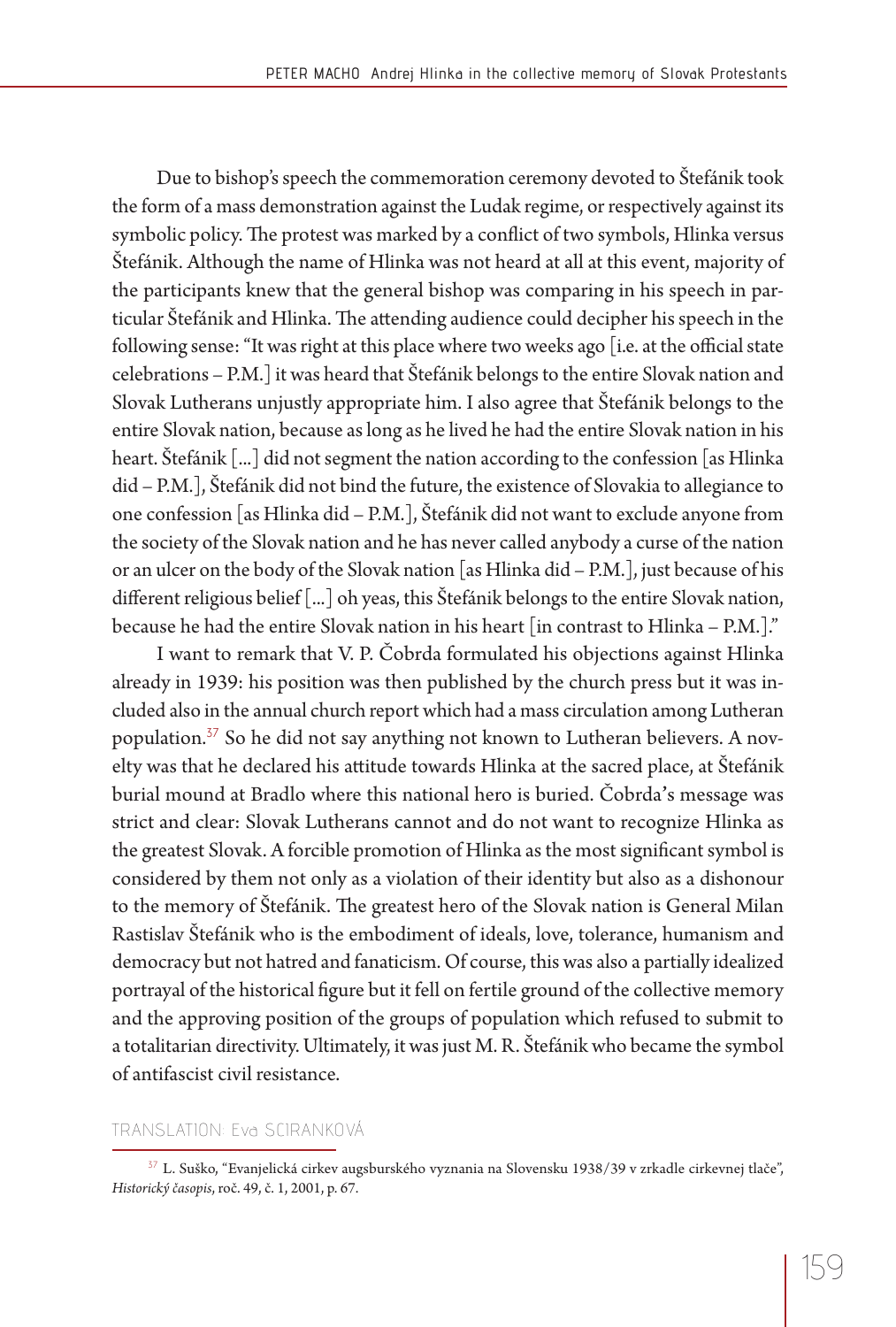Due to bishop's speech the commemoration ceremony devoted to Štefánik took the form of a mass demonstration against the Ludak regime, or respectively against its symbolic policy. The protest was marked by a conflict of two symbols, Hlinka versus Štefánik. Although the name of Hlinka was not heard at all at this event, majority of the participants knew that the general bishop was comparing in his speech in particular Štefánik and Hlinka. The attending audience could decipher his speech in the following sense: "It was right at this place where two weeks ago [i.e. at the official state celebrations – P.M.] it was heard that Štefánik belongs to the entire Slovak nation and Slovak Lutherans unjustly appropriate him. I also agree that Štefánik belongs to the entire Slovak nation, because as long as he lived he had the entire Slovak nation in his heart. Štefánik [...] did not segment the nation according to the confession [as Hlinka did – P.M.], Štefánik did not bind the future, the existence of Slovakia to allegiance to one confession [as Hlinka did – P.M.], Štefánik did not want to exclude anyone from the society of the Slovak nation and he has never called anybody a curse of the nation or an ulcer on the body of the Slovak nation [as Hlinka did – P.M.], just because of his different religious belief [...] oh yeas, this Štefánik belongs to the entire Slovak nation, because he had the entire Slovak nation in his heart [in contrast to Hlinka – P.M.]."

I want to remark that V. P. Čobrda formulated his objections against Hlinka already in 1939: his position was then published by the church press but it was included also in the annual church report which had a mass circulation among Lutheran population.<sup>37</sup> So he did not say anything not known to Lutheran believers. A novelty was that he declared his attitude towards Hlinka at the sacred place, at Štefánik burial mound at Bradlo where this national hero is buried. Čobrda**'**s message was strict and clear: Slovak Lutherans cannot and do not want to recognize Hlinka as the greatest Slovak. A forcible promotion of Hlinka as the most significant symbol is considered by them not only as a violation of their identity but also as a dishonour to the memory of Stefánik. The greatest hero of the Slovak nation is General Milan Rastislav Štefánik who is the embodiment of ideals, love, tolerance, humanism and democracy but not hatred and fanaticism. Of course, this was also a partially idealized portrayal of the historical figure but it fell on fertile ground of the collective memory and the approving position of the groups of population which refused to submit to a totalitarian directivity. Ultimately, it was just M. R. Štefánik who became the symbol of antifascist civil resistance.

#### TRANSLATION: Eva SCIRANKOVÁ

<sup>&</sup>lt;sup>37</sup> L. Suško, "Evanjelická cirkev augsburského vyznania na Slovensku 1938/39 v zrkadle cirkevnej tlače", *Historický časopis*, roč. 49, č. 1, 2001, p. 67.